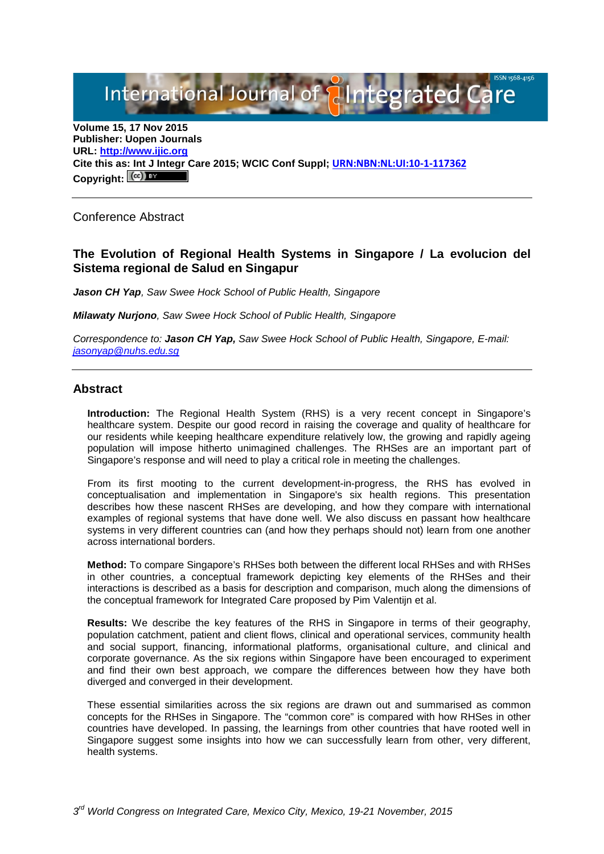International Journal of **Alntegrated Care** 

**Volume 15, 17 Nov 2015 Publisher: Uopen Journals URL: [http://www.ijic.org](http://www.ijic.org/) Cite this as: Int J Integr Care 2015; WCIC Conf Suppl; [URN:NBN:NL:UI:10-1-117362](http://persistent-identifier.nl/?identifier=URN:NBN:NL:UI:10-1-117362)** Copyright:  $(cc)$ 

Conference Abstract

# **The Evolution of Regional Health Systems in Singapore / La evolucion del Sistema regional de Salud en Singapur**

*Jason CH Yap, Saw Swee Hock School of Public Health, Singapore*

*Milawaty Nurjono, Saw Swee Hock School of Public Health, Singapore*

*Correspondence to: Jason CH Yap, Saw Swee Hock School of Public Health, Singapore, E-mail: [jasonyap@nuhs.edu.sg](mailto:jasonyap@nuhs.edu.sg)*

#### **Abstract**

**Introduction:** The Regional Health System (RHS) is a very recent concept in Singapore's healthcare system. Despite our good record in raising the coverage and quality of healthcare for our residents while keeping healthcare expenditure relatively low, the growing and rapidly ageing population will impose hitherto unimagined challenges. The RHSes are an important part of Singapore's response and will need to play a critical role in meeting the challenges.

From its first mooting to the current development-in-progress, the RHS has evolved in conceptualisation and implementation in Singapore's six health regions. This presentation describes how these nascent RHSes are developing, and how they compare with international examples of regional systems that have done well. We also discuss en passant how healthcare systems in very different countries can (and how they perhaps should not) learn from one another across international borders.

**Method:** To compare Singapore's RHSes both between the different local RHSes and with RHSes in other countries, a conceptual framework depicting key elements of the RHSes and their interactions is described as a basis for description and comparison, much along the dimensions of the conceptual framework for Integrated Care proposed by Pim Valentijn et al.

**Results:** We describe the key features of the RHS in Singapore in terms of their geography, population catchment, patient and client flows, clinical and operational services, community health and social support, financing, informational platforms, organisational culture, and clinical and corporate governance. As the six regions within Singapore have been encouraged to experiment and find their own best approach, we compare the differences between how they have both diverged and converged in their development.

These essential similarities across the six regions are drawn out and summarised as common concepts for the RHSes in Singapore. The "common core" is compared with how RHSes in other countries have developed. In passing, the learnings from other countries that have rooted well in Singapore suggest some insights into how we can successfully learn from other, very different, health systems.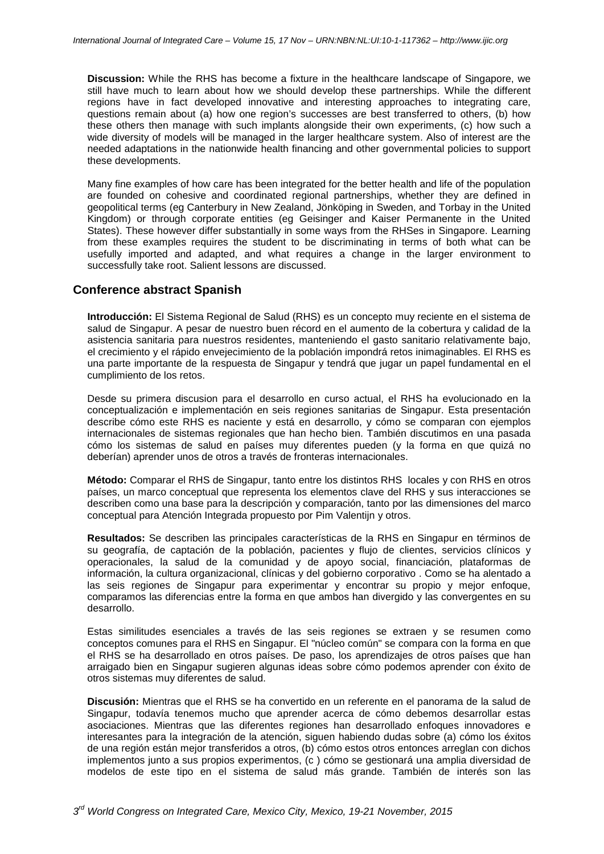**Discussion:** While the RHS has become a fixture in the healthcare landscape of Singapore, we still have much to learn about how we should develop these partnerships. While the different regions have in fact developed innovative and interesting approaches to integrating care, questions remain about (a) how one region's successes are best transferred to others, (b) how these others then manage with such implants alongside their own experiments, (c) how such a wide diversity of models will be managed in the larger healthcare system. Also of interest are the needed adaptations in the nationwide health financing and other governmental policies to support these developments.

Many fine examples of how care has been integrated for the better health and life of the population are founded on cohesive and coordinated regional partnerships, whether they are defined in geopolitical terms (eg Canterbury in New Zealand, Jönköping in Sweden, and Torbay in the United Kingdom) or through corporate entities (eg Geisinger and Kaiser Permanente in the United States). These however differ substantially in some ways from the RHSes in Singapore. Learning from these examples requires the student to be discriminating in terms of both what can be usefully imported and adapted, and what requires a change in the larger environment to successfully take root. Salient lessons are discussed.

### **Conference abstract Spanish**

**Introducción:** El Sistema Regional de Salud (RHS) es un concepto muy reciente en el sistema de salud de Singapur. A pesar de nuestro buen récord en el aumento de la cobertura y calidad de la asistencia sanitaria para nuestros residentes, manteniendo el gasto sanitario relativamente bajo, el crecimiento y el rápido envejecimiento de la población impondrá retos inimaginables. El RHS es una parte importante de la respuesta de Singapur y tendrá que jugar un papel fundamental en el cumplimiento de los retos.

Desde su primera discusion para el desarrollo en curso actual, el RHS ha evolucionado en la conceptualización e implementación en seis regiones sanitarias de Singapur. Esta presentación describe cómo este RHS es naciente y está en desarrollo, y cómo se comparan con ejemplos internacionales de sistemas regionales que han hecho bien. También discutimos en una pasada cómo los sistemas de salud en países muy diferentes pueden (y la forma en que quizá no deberían) aprender unos de otros a través de fronteras internacionales.

**Método:** Comparar el RHS de Singapur, tanto entre los distintos RHS locales y con RHS en otros países, un marco conceptual que representa los elementos clave del RHS y sus interacciones se describen como una base para la descripción y comparación, tanto por las dimensiones del marco conceptual para Atención Integrada propuesto por Pim Valentijn y otros.

**Resultados:** Se describen las principales características de la RHS en Singapur en términos de su geografía, de captación de la población, pacientes y flujo de clientes, servicios clínicos y operacionales, la salud de la comunidad y de apoyo social, financiación, plataformas de información, la cultura organizacional, clínicas y del gobierno corporativo . Como se ha alentado a las seis regiones de Singapur para experimentar y encontrar su propio y mejor enfoque, comparamos las diferencias entre la forma en que ambos han divergido y las convergentes en su desarrollo.

Estas similitudes esenciales a través de las seis regiones se extraen y se resumen como conceptos comunes para el RHS en Singapur. El "núcleo común" se compara con la forma en que el RHS se ha desarrollado en otros países. De paso, los aprendizajes de otros países que han arraigado bien en Singapur sugieren algunas ideas sobre cómo podemos aprender con éxito de otros sistemas muy diferentes de salud.

**Discusión:** Mientras que el RHS se ha convertido en un referente en el panorama de la salud de Singapur, todavía tenemos mucho que aprender acerca de cómo debemos desarrollar estas asociaciones. Mientras que las diferentes regiones han desarrollado enfoques innovadores e interesantes para la integración de la atención, siguen habiendo dudas sobre (a) cómo los éxitos de una región están mejor transferidos a otros, (b) cómo estos otros entonces arreglan con dichos implementos junto a sus propios experimentos, (c ) cómo se gestionará una amplia diversidad de modelos de este tipo en el sistema de salud más grande. También de interés son las